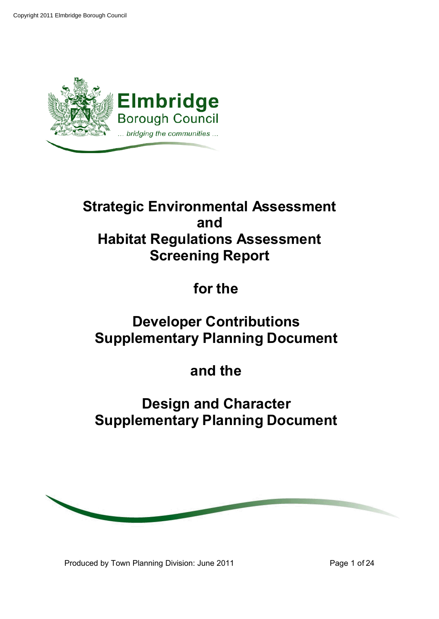

# **Strategic Environmental Assessment and Habitat Regulations Assessment Screening Report**

**for the**

# **Developer Contributions Supplementary Planning Document**

# **and the**

# **Design and Character Supplementary Planning Document**



Produced by Town Planning Division: June 2011 Produced by Town Planning Division: June 2011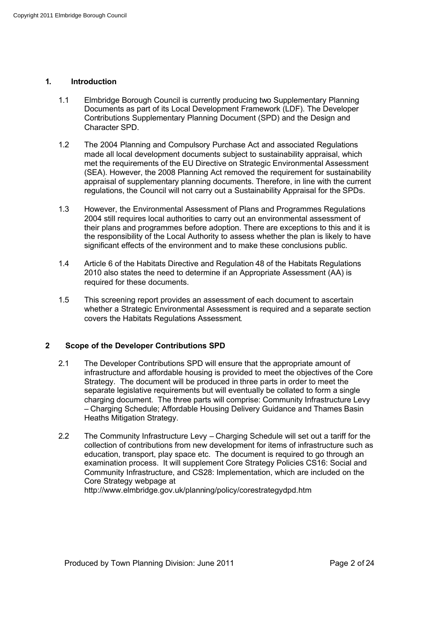## **1. Introduction**

- 1.1 Elmbridge Borough Council is currently producing two Supplementary Planning Documents as part of its Local Development Framework (LDF). The Developer Contributions Supplementary Planning Document (SPD) and the Design and Character SPD.
- 1.2 The 2004 Planning and Compulsory Purchase Act and associated Regulations made all local development documents subject to sustainability appraisal, which met the requirements of the EU Directive on Strategic Environmental Assessment (SEA). However, the 2008 Planning Act removed the requirement for sustainability appraisal of supplementary planning documents. Therefore, in line with the current regulations, the Council will not carry out a Sustainability Appraisal for the SPDs.
- 1.3 However, the Environmental Assessment of Plans and Programmes Regulations 2004 still requires local authorities to carry out an environmental assessment of their plans and programmes before adoption. There are exceptions to this and it is the responsibility of the Local Authority to assess whether the plan is likely to have significant effects of the environment and to make these conclusions public.
- 1.4 Article 6 of the Habitats Directive and Regulation 48 of the Habitats Regulations 2010 also states the need to determine if an Appropriate Assessment (AA) is required for these documents.
- 1.5 This screening report provides an assessment of each document to ascertain whether a Strategic Environmental Assessment is required and a separate section covers the Habitats Regulations Assessment.

## **2 Scope of the Developer Contributions SPD**

- 2.1 The Developer Contributions SPD will ensure that the appropriate amount of infrastructure and affordable housing is provided to meet the objectives of the Core Strategy. The document will be produced in three parts in order to meet the separate legislative requirements but will eventually be collated to form a single charging document. The three parts will comprise: Community Infrastructure Levy – Charging Schedule; Affordable Housing Delivery Guidance and Thames Basin Heaths Mitigation Strategy.
- 2.2 The Community Infrastructure Levy Charging Schedule will set out a tariff for the collection of contributions from new development for items of infrastructure such as education, transport, play space etc. The document is required to go through an examination process. It will supplement Core Strategy Policies CS16: Social and Community Infrastructure, and CS28: Implementation, which are included on the Core Strategy webpage at

http://www.elmbridge.gov.uk/planning/policy/corestrategydpd.htm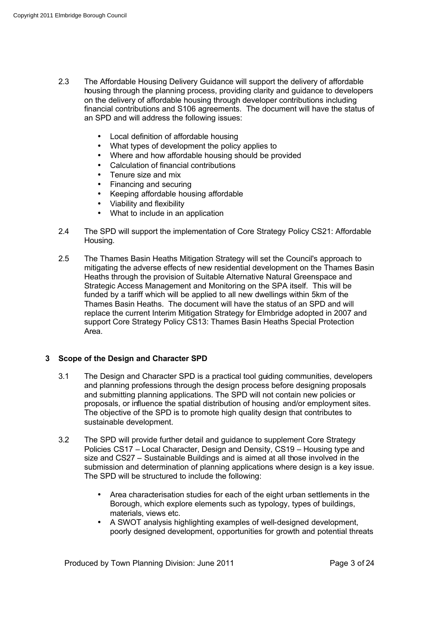- 2.3 The Affordable Housing Delivery Guidance will support the delivery of affordable housing through the planning process, providing clarity and guidance to developers on the delivery of affordable housing through developer contributions including financial contributions and S106 agreements. The document will have the status of an SPD and will address the following issues:
	- Local definition of affordable housing
	- What types of development the policy applies to
	- Where and how affordable housing should be provided
	- Calculation of financial contributions
	- Tenure size and mix
	- Financing and securing
	- Keeping affordable housing affordable
	- Viability and flexibility
	- What to include in an application
- 2.4 The SPD will support the implementation of Core Strategy Policy CS21: Affordable Housing.
- 2.5 The Thames Basin Heaths Mitigation Strategy will set the Council's approach to mitigating the adverse effects of new residential development on the Thames Basin Heaths through the provision of Suitable Alternative Natural Greenspace and Strategic Access Management and Monitoring on the SPA itself. This will be funded by a tariff which will be applied to all new dwellings within 5km of the Thames Basin Heaths. The document will have the status of an SPD and will replace the current Interim Mitigation Strategy for Elmbridge adopted in 2007 and support Core Strategy Policy CS13: Thames Basin Heaths Special Protection Area.

#### **3 Scope of the Design and Character SPD**

- 3.1 The Design and Character SPD is a practical tool guiding communities, developers and planning professions through the design process before designing proposals and submitting planning applications. The SPD will not contain new policies or proposals, or influence the spatial distribution of housing and/or employment sites. The objective of the SPD is to promote high quality design that contributes to sustainable development.
- 3.2 The SPD will provide further detail and guidance to supplement Core Strategy Policies CS17 – Local Character, Design and Density, CS19 – Housing type and size and CS27 – Sustainable Buildings and is aimed at all those involved in the submission and determination of planning applications where design is a key issue. The SPD will be structured to include the following:
	- Area characterisation studies for each of the eight urban settlements in the Borough, which explore elements such as typology, types of buildings, materials, views etc.
	- A SWOT analysis highlighting examples of well-designed development, poorly designed development, opportunities for growth and potential threats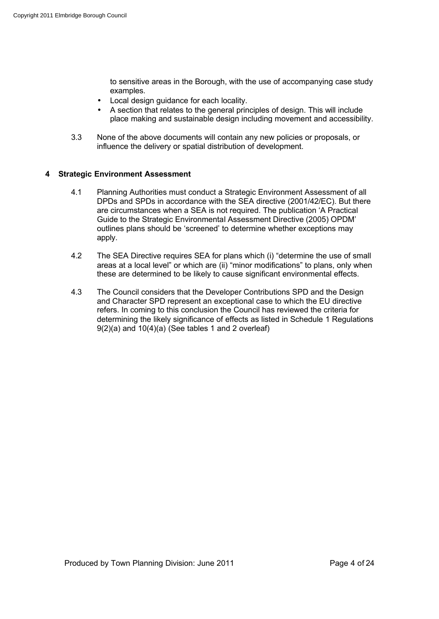to sensitive areas in the Borough, with the use of accompanying case study examples.

- Local design guidance for each locality.
- A section that relates to the general principles of design. This will include place making and sustainable design including movement and accessibility.
- 3.3 None of the above documents will contain any new policies or proposals, or influence the delivery or spatial distribution of development.

## **4 Strategic Environment Assessment**

- 4.1 Planning Authorities must conduct a Strategic Environment Assessment of all DPDs and SPDs in accordance with the SEA directive (2001/42/EC). But there are circumstances when a SEA is not required. The publication 'A Practical Guide to the Strategic Environmental Assessment Directive (2005) OPDM' outlines plans should be 'screened' to determine whether exceptions may apply.
- 4.2 The SEA Directive requires SEA for plans which (i) "determine the use of small areas at a local level" or which are (ii) "minor modifications" to plans, only when these are determined to be likely to cause significant environmental effects.
- 4.3 The Council considers that the Developer Contributions SPD and the Design and Character SPD represent an exceptional case to which the EU directive refers. In coming to this conclusion the Council has reviewed the criteria for determining the likely significance of effects as listed in Schedule 1 Regulations 9(2)(a) and 10(4)(a) (See tables 1 and 2 overleaf)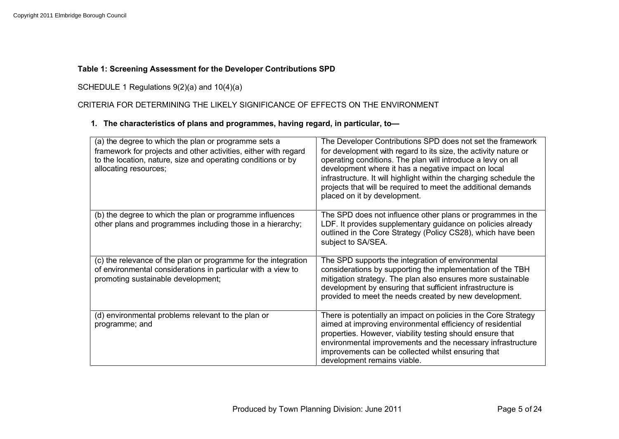## **Table 1: Screening Assessment for the Developer Contributions SPD**

# SCHEDULE 1 Regulations 9(2)(a) and 10(4)(a)

# CRITERIA FOR DETERMINING THE LIKELY SIGNIFICANCE OF EFFECTS ON THE ENVIRONMENT

## **1. The characteristics of plans and programmes, having regard, in particular, to—**

| (a) the degree to which the plan or programme sets a<br>framework for projects and other activities, either with regard<br>to the location, nature, size and operating conditions or by<br>allocating resources; | The Developer Contributions SPD does not set the framework<br>for development with regard to its size, the activity nature or<br>operating conditions. The plan will introduce a levy on all<br>development where it has a negative impact on local<br>infrastructure. It will highlight within the charging schedule the<br>projects that will be required to meet the additional demands<br>placed on it by development. |
|------------------------------------------------------------------------------------------------------------------------------------------------------------------------------------------------------------------|----------------------------------------------------------------------------------------------------------------------------------------------------------------------------------------------------------------------------------------------------------------------------------------------------------------------------------------------------------------------------------------------------------------------------|
| (b) the degree to which the plan or programme influences<br>other plans and programmes including those in a hierarchy;                                                                                           | The SPD does not influence other plans or programmes in the<br>LDF. It provides supplementary guidance on policies already<br>outlined in the Core Strategy (Policy CS28), which have been<br>subject to SA/SEA.                                                                                                                                                                                                           |
| (c) the relevance of the plan or programme for the integration<br>of environmental considerations in particular with a view to<br>promoting sustainable development;                                             | The SPD supports the integration of environmental<br>considerations by supporting the implementation of the TBH<br>mitigation strategy. The plan also ensures more sustainable<br>development by ensuring that sufficient infrastructure is<br>provided to meet the needs created by new development.                                                                                                                      |
| (d) environmental problems relevant to the plan or<br>programme; and                                                                                                                                             | There is potentially an impact on policies in the Core Strategy<br>aimed at improving environmental efficiency of residential<br>properties. However, viability testing should ensure that<br>environmental improvements and the necessary infrastructure<br>improvements can be collected whilst ensuring that<br>development remains viable.                                                                             |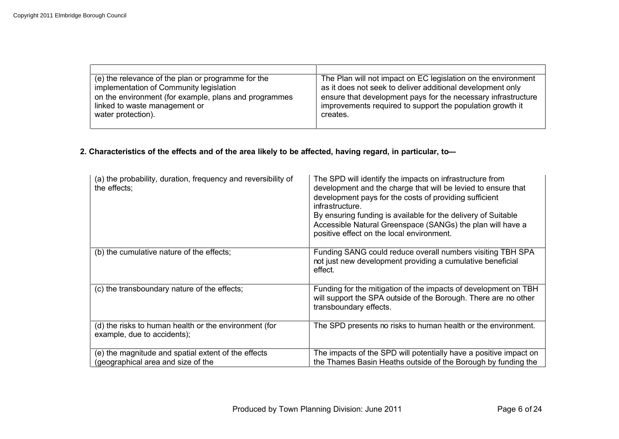| (e) the relevance of the plan or programme for the    | The Plan will not impact on EC legislation on the environment |
|-------------------------------------------------------|---------------------------------------------------------------|
| implementation of Community legislation               | as it does not seek to deliver additional development only    |
| on the environment (for example, plans and programmes | ensure that development pays for the necessary infrastructure |
| linked to waste management or                         | improvements required to support the population growth it     |
| water protection).                                    | creates.                                                      |
|                                                       |                                                               |

## **2. Characteristics of the effects and of the area likely to be affected, having regard, in particular, to—**

| (a) the probability, duration, frequency and reversibility of<br>the effects;             | The SPD will identify the impacts on infrastructure from<br>development and the charge that will be levied to ensure that<br>development pays for the costs of providing sufficient<br>infrastructure.<br>By ensuring funding is available for the delivery of Suitable<br>Accessible Natural Greenspace (SANGs) the plan will have a<br>positive effect on the local environment. |
|-------------------------------------------------------------------------------------------|------------------------------------------------------------------------------------------------------------------------------------------------------------------------------------------------------------------------------------------------------------------------------------------------------------------------------------------------------------------------------------|
| (b) the cumulative nature of the effects;                                                 | Funding SANG could reduce overall numbers visiting TBH SPA<br>not just new development providing a cumulative beneficial<br>effect.                                                                                                                                                                                                                                                |
| (c) the transboundary nature of the effects;                                              | Funding for the mitigation of the impacts of development on TBH<br>will support the SPA outside of the Borough. There are no other<br>transboundary effects.                                                                                                                                                                                                                       |
| (d) the risks to human health or the environment (for<br>example, due to accidents);      | The SPD presents no risks to human health or the environment.                                                                                                                                                                                                                                                                                                                      |
| (e) the magnitude and spatial extent of the effects<br>(geographical area and size of the | The impacts of the SPD will potentially have a positive impact on<br>the Thames Basin Heaths outside of the Borough by funding the                                                                                                                                                                                                                                                 |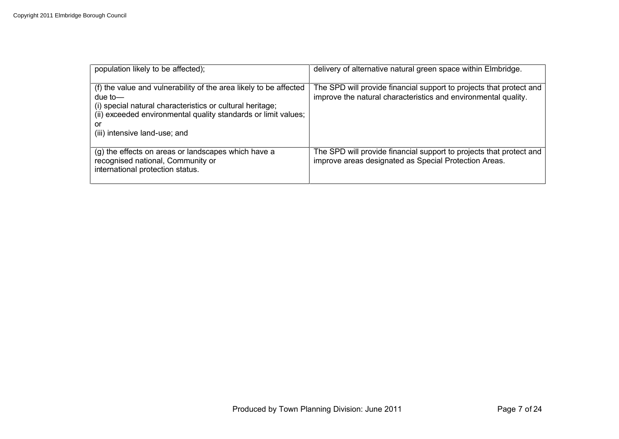| population likely to be affected);                                                                                                                                                                                                                 | delivery of alternative natural green space within Elmbridge.                                                                         |
|----------------------------------------------------------------------------------------------------------------------------------------------------------------------------------------------------------------------------------------------------|---------------------------------------------------------------------------------------------------------------------------------------|
| (f) the value and vulnerability of the area likely to be affected<br>due to—<br>(i) special natural characteristics or cultural heritage;<br>(ii) exceeded environmental quality standards or limit values;<br>or<br>(iii) intensive land-use; and | The SPD will provide financial support to projects that protect and<br>improve the natural characteristics and environmental quality. |
| (g) the effects on areas or landscapes which have a<br>recognised national, Community or<br>international protection status.                                                                                                                       | The SPD will provide financial support to projects that protect and<br>improve areas designated as Special Protection Areas.          |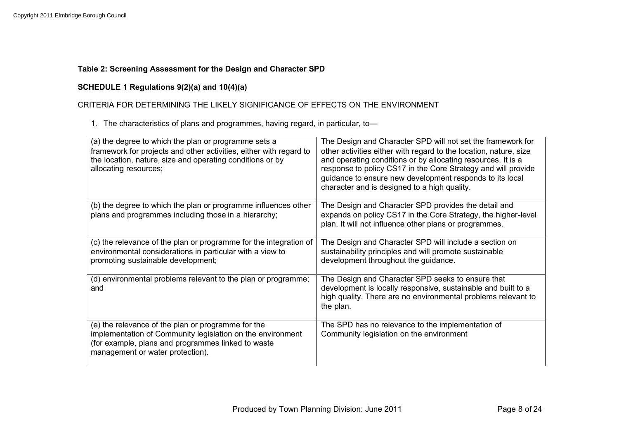## **Table 2: Screening Assessment for the Design and Character SPD**

## **SCHEDULE 1 Regulations 9(2)(a) and 10(4)(a)**

# CRITERIA FOR DETERMINING THE LIKELY SIGNIFICANCE OF EFFECTS ON THE ENVIRONMENT

1. The characteristics of plans and programmes, having regard, in particular, to—

| (a) the degree to which the plan or programme sets a<br>framework for projects and other activities, either with regard to<br>the location, nature, size and operating conditions or by<br>allocating resources; | The Design and Character SPD will not set the framework for<br>other activities either with regard to the location, nature, size<br>and operating conditions or by allocating resources. It is a<br>response to policy CS17 in the Core Strategy and will provide<br>guidance to ensure new development responds to its local<br>character and is designed to a high quality. |
|------------------------------------------------------------------------------------------------------------------------------------------------------------------------------------------------------------------|-------------------------------------------------------------------------------------------------------------------------------------------------------------------------------------------------------------------------------------------------------------------------------------------------------------------------------------------------------------------------------|
| (b) the degree to which the plan or programme influences other<br>plans and programmes including those in a hierarchy;                                                                                           | The Design and Character SPD provides the detail and<br>expands on policy CS17 in the Core Strategy, the higher-level<br>plan. It will not influence other plans or programmes.                                                                                                                                                                                               |
| (c) the relevance of the plan or programme for the integration of<br>environmental considerations in particular with a view to<br>promoting sustainable development;                                             | The Design and Character SPD will include a section on<br>sustainability principles and will promote sustainable<br>development throughout the guidance.                                                                                                                                                                                                                      |
| (d) environmental problems relevant to the plan or programme;<br>and                                                                                                                                             | The Design and Character SPD seeks to ensure that<br>development is locally responsive, sustainable and built to a<br>high quality. There are no environmental problems relevant to<br>the plan.                                                                                                                                                                              |
| (e) the relevance of the plan or programme for the<br>implementation of Community legislation on the environment<br>(for example, plans and programmes linked to waste<br>management or water protection).       | The SPD has no relevance to the implementation of<br>Community legislation on the environment                                                                                                                                                                                                                                                                                 |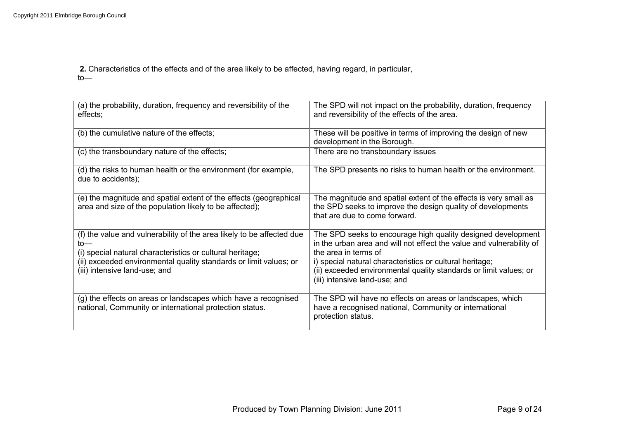**2.** Characteristics of the effects and of the area likely to be affected, having regard, in particular, to—

| (a) the probability, duration, frequency and reversibility of the<br>effects;                                                                                                                                                                   | The SPD will not impact on the probability, duration, frequency<br>and reversibility of the effects of the area.                                                                                                                                                                                                               |
|-------------------------------------------------------------------------------------------------------------------------------------------------------------------------------------------------------------------------------------------------|--------------------------------------------------------------------------------------------------------------------------------------------------------------------------------------------------------------------------------------------------------------------------------------------------------------------------------|
| (b) the cumulative nature of the effects;                                                                                                                                                                                                       | These will be positive in terms of improving the design of new<br>development in the Borough.                                                                                                                                                                                                                                  |
| (c) the transboundary nature of the effects;                                                                                                                                                                                                    | There are no transboundary issues                                                                                                                                                                                                                                                                                              |
| (d) the risks to human health or the environment (for example,<br>due to accidents);                                                                                                                                                            | The SPD presents no risks to human health or the environment.                                                                                                                                                                                                                                                                  |
| (e) the magnitude and spatial extent of the effects (geographical<br>area and size of the population likely to be affected);                                                                                                                    | The magnitude and spatial extent of the effects is very small as<br>the SPD seeks to improve the design quality of developments<br>that are due to come forward.                                                                                                                                                               |
| (f) the value and vulnerability of the area likely to be affected due<br>to—<br>(i) special natural characteristics or cultural heritage;<br>(ii) exceeded environmental quality standards or limit values; or<br>(iii) intensive land-use; and | The SPD seeks to encourage high quality designed development<br>in the urban area and will not effect the value and vulnerability of<br>the area in terms of<br>i) special natural characteristics or cultural heritage;<br>(ii) exceeded environmental quality standards or limit values; or<br>(iii) intensive land-use; and |
| (g) the effects on areas or landscapes which have a recognised<br>national, Community or international protection status.                                                                                                                       | The SPD will have no effects on areas or landscapes, which<br>have a recognised national, Community or international<br>protection status.                                                                                                                                                                                     |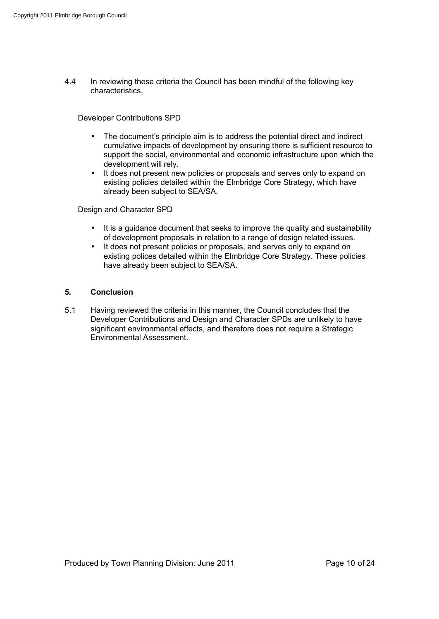4.4 In reviewing these criteria the Council has been mindful of the following key characteristics,

Developer Contributions SPD

- The document's principle aim is to address the potential direct and indirect cumulative impacts of development by ensuring there is sufficient resource to support the social, environmental and economic infrastructure upon which the development will rely.
- It does not present new policies or proposals and serves only to expand on existing policies detailed within the Elmbridge Core Strategy, which have already been subject to SEA/SA.

Design and Character SPD

- It is a guidance document that seeks to improve the quality and sustainability of development proposals in relation to a range of design related issues.
- It does not present policies or proposals, and serves only to expand on existing polices detailed within the Elmbridge Core Strategy. These policies have already been subject to SEA/SA.

## **5. Conclusion**

5.1 Having reviewed the criteria in this manner, the Council concludes that the Developer Contributions and Design and Character SPDs are unlikely to have significant environmental effects, and therefore does not require a Strategic Environmental Assessment.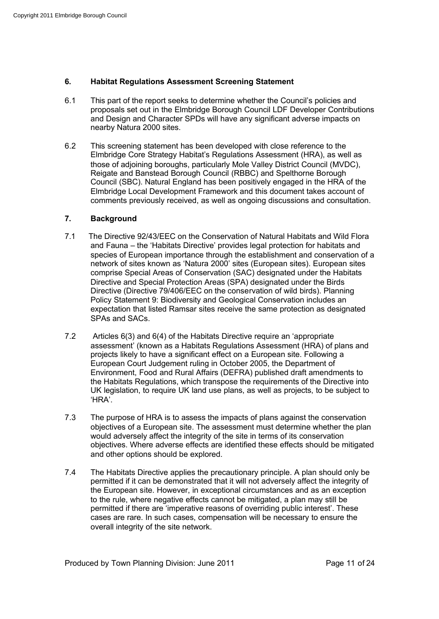## **6. Habitat Regulations Assessment Screening Statement**

- 6.1 This part of the report seeks to determine whether the Council's policies and proposals set out in the Elmbridge Borough Council LDF Developer Contributions and Design and Character SPDs will have any significant adverse impacts on nearby Natura 2000 sites.
- 6.2 This screening statement has been developed with close reference to the Elmbridge Core Strategy Habitat's Regulations Assessment (HRA), as well as those of adjoining boroughs, particularly Mole Valley District Council (MVDC), Reigate and Banstead Borough Council (RBBC) and Spelthorne Borough Council (SBC). Natural England has been positively engaged in the HRA of the Elmbridge Local Development Framework and this document takes account of comments previously received, as well as ongoing discussions and consultation.

## **7. Background**

- 7.1 The Directive 92/43/EEC on the Conservation of Natural Habitats and Wild Flora and Fauna – the 'Habitats Directive' provides legal protection for habitats and species of European importance through the establishment and conservation of a network of sites known as 'Natura 2000' sites (European sites). European sites comprise Special Areas of Conservation (SAC) designated under the Habitats Directive and Special Protection Areas (SPA) designated under the Birds Directive (Directive 79/406/EEC on the conservation of wild birds). Planning Policy Statement 9: Biodiversity and Geological Conservation includes an expectation that listed Ramsar sites receive the same protection as designated SPAs and SACs.
- 7.2 Articles 6(3) and 6(4) of the Habitats Directive require an 'appropriate assessment' (known as a Habitats Regulations Assessment (HRA) of plans and projects likely to have a significant effect on a European site. Following a European Court Judgement ruling in October 2005, the Department of Environment, Food and Rural Affairs (DEFRA) published draft amendments to the Habitats Regulations, which transpose the requirements of the Directive into UK legislation, to require UK land use plans, as well as projects, to be subject to 'HRA'.
- 7.3 The purpose of HRA is to assess the impacts of plans against the conservation objectives of a European site. The assessment must determine whether the plan would adversely affect the integrity of the site in terms of its conservation objectives. Where adverse effects are identified these effects should be mitigated and other options should be explored.
- 7.4 The Habitats Directive applies the precautionary principle. A plan should only be permitted if it can be demonstrated that it will not adversely affect the integrity of the European site. However, in exceptional circumstances and as an exception to the rule, where negative effects cannot be mitigated, a plan may still be permitted if there are 'imperative reasons of overriding public interest'. These cases are rare. In such cases, compensation will be necessary to ensure the overall integrity of the site network.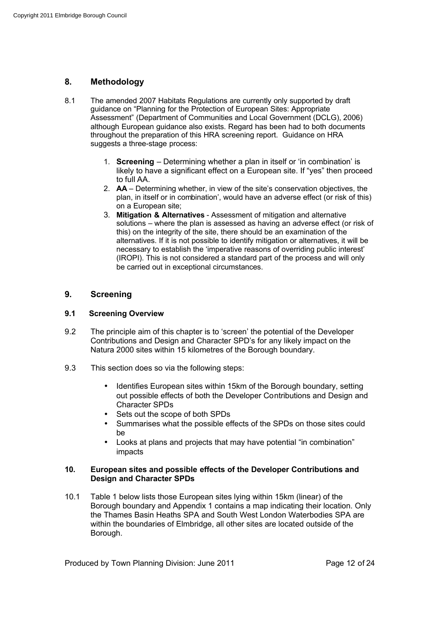## **8. Methodology**

- 8.1 The amended 2007 Habitats Regulations are currently only supported by draft guidance on "Planning for the Protection of European Sites: Appropriate Assessment" (Department of Communities and Local Government (DCLG), 2006) although European guidance also exists. Regard has been had to both documents throughout the preparation of this HRA screening report. Guidance on HRA suggests a three-stage process:
	- 1. **Screening** Determining whether a plan in itself or 'in combination' is likely to have a significant effect on a European site. If "yes" then proceed to full AA.
	- 2. **AA**  Determining whether, in view of the site's conservation objectives, the plan, in itself or in combination', would have an adverse effect (or risk of this) on a European site;
	- 3. **Mitigation & Alternatives**  Assessment of mitigation and alternative solutions – where the plan is assessed as having an adverse effect (or risk of this) on the integrity of the site, there should be an examination of the alternatives. If it is not possible to identify mitigation or alternatives, it will be necessary to establish the 'imperative reasons of overriding public interest' (IROPI). This is not considered a standard part of the process and will only be carried out in exceptional circumstances.

## **9. Screening**

#### **9.1 Screening Overview**

- 9.2 The principle aim of this chapter is to 'screen' the potential of the Developer Contributions and Design and Character SPD's for any likely impact on the Natura 2000 sites within 15 kilometres of the Borough boundary.
- 9.3 This section does so via the following steps:
	- Identifies European sites within 15km of the Borough boundary, setting out possible effects of both the Developer Contributions and Design and Character SPDs
	- Sets out the scope of both SPDs
	- Summarises what the possible effects of the SPDs on those sites could be
	- Looks at plans and projects that may have potential "in combination" impacts

#### **10. European sites and possible effects of the Developer Contributions and Design and Character SPDs**

10.1 Table 1 below lists those European sites lying within 15km (linear) of the Borough boundary and Appendix 1 contains a map indicating their location. Only the Thames Basin Heaths SPA and South West London Waterbodies SPA are within the boundaries of Elmbridge, all other sites are located outside of the Borough.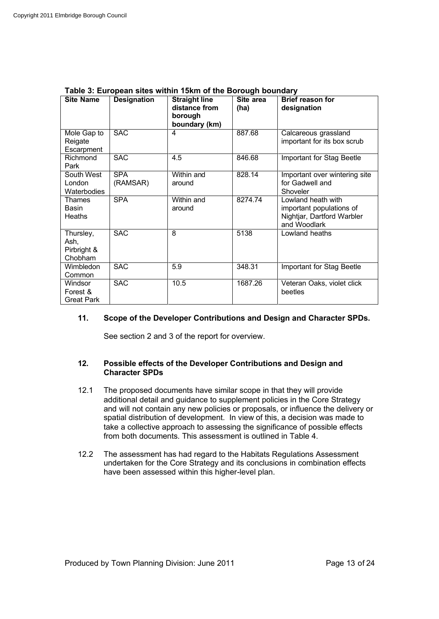| <b>Site Name</b>                            | <b>Designation</b>     | <b>Straight line</b><br>distance from<br>borough<br>boundary (km) | Site area<br>(ha) | <b>Brief reason for</b><br>designation                                                       |
|---------------------------------------------|------------------------|-------------------------------------------------------------------|-------------------|----------------------------------------------------------------------------------------------|
| Mole Gap to<br>Reigate<br>Escarpment        | <b>SAC</b>             | 4                                                                 | 887.68            | Calcareous grassland<br>important for its box scrub                                          |
| Richmond<br>Park                            | <b>SAC</b>             | 4.5                                                               | 846.68            | Important for Stag Beetle                                                                    |
| South West<br>London<br>Waterbodies         | <b>SPA</b><br>(RAMSAR) | Within and<br>around                                              | 828.14            | Important over wintering site<br>for Gadwell and<br>Shoveler                                 |
| Thames<br>Basin<br><b>Heaths</b>            | <b>SPA</b>             | Within and<br>around                                              | 8274.74           | Lowland heath with<br>important populations of<br>Nightjar, Dartford Warbler<br>and Woodlark |
| Thursley,<br>Ash,<br>Pirbright &<br>Chobham | <b>SAC</b>             | 8                                                                 | 5138              | Lowland heaths                                                                               |
| Wimbledon<br>Common                         | <b>SAC</b>             | 5.9                                                               | 348.31            | Important for Stag Beetle                                                                    |
| Windsor<br>Forest &<br><b>Great Park</b>    | <b>SAC</b>             | 10.5                                                              | 1687.26           | Veteran Oaks, violet click<br>beetles                                                        |

#### **Table 3: European sites within 15km of the Borough boundary**

## **11. Scope of the Developer Contributions and Design and Character SPDs.**

See section 2 and 3 of the report for overview.

## **12. Possible effects of the Developer Contributions and Design and Character SPDs**

- 12.1 The proposed documents have similar scope in that they will provide additional detail and guidance to supplement policies in the Core Strategy and will not contain any new policies or proposals, or influence the delivery or spatial distribution of development. In view of this, a decision was made to take a collective approach to assessing the significance of possible effects from both documents. This assessment is outlined in Table 4.
- 12.2 The assessment has had regard to the Habitats Regulations Assessment undertaken for the Core Strategy and its conclusions in combination effects have been assessed within this higher-level plan.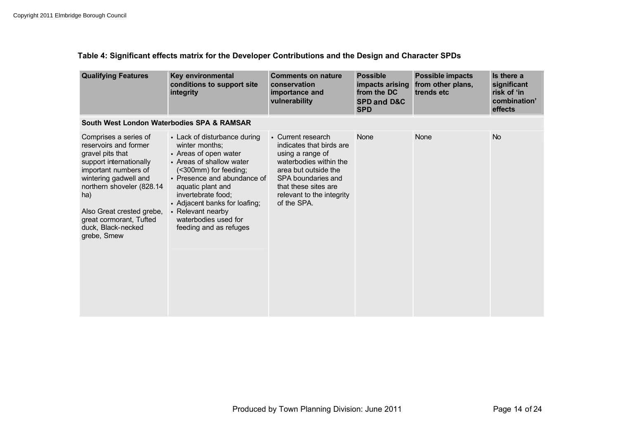## **Table 4: Significant effects matrix for the Developer Contributions and the Design and Character SPDs**

| <b>Qualifying Features</b>                                                                                                                                                                                                                                                      | Key environmental<br>conditions to support site<br>integrity                                                                                                                                                                                                                                                   | <b>Comments on nature</b><br>conservation<br>importance and<br>vulnerability                                                                                                                                   | <b>Possible</b><br>impacts arising<br>from the DC<br><b>SPD and D&amp;C</b><br><b>SPD</b> | <b>Possible impacts</b><br>from other plans,<br>trends etc | Is there a<br>significant<br>risk of 'in<br>combination'<br>effects |
|---------------------------------------------------------------------------------------------------------------------------------------------------------------------------------------------------------------------------------------------------------------------------------|----------------------------------------------------------------------------------------------------------------------------------------------------------------------------------------------------------------------------------------------------------------------------------------------------------------|----------------------------------------------------------------------------------------------------------------------------------------------------------------------------------------------------------------|-------------------------------------------------------------------------------------------|------------------------------------------------------------|---------------------------------------------------------------------|
| South West London Waterbodies SPA & RAMSAR                                                                                                                                                                                                                                      |                                                                                                                                                                                                                                                                                                                |                                                                                                                                                                                                                |                                                                                           |                                                            |                                                                     |
| Comprises a series of<br>reservoirs and former<br>gravel pits that<br>support internationally<br>important numbers of<br>wintering gadwell and<br>northern shoveler (828.14<br>ha)<br>Also Great crested grebe,<br>great cormorant, Tufted<br>duck, Black-necked<br>grebe, Smew | • Lack of disturbance during<br>winter months;<br>• Areas of open water<br>• Areas of shallow water<br>(<300mm) for feeding;<br>• Presence and abundance of<br>aquatic plant and<br>invertebrate food;<br>• Adjacent banks for loafing;<br>• Relevant nearby<br>waterbodies used for<br>feeding and as refuges | • Current research<br>indicates that birds are<br>using a range of<br>waterbodies within the<br>area but outside the<br>SPA boundaries and<br>that these sites are<br>relevant to the integrity<br>of the SPA. | <b>None</b>                                                                               | None                                                       | <b>No</b>                                                           |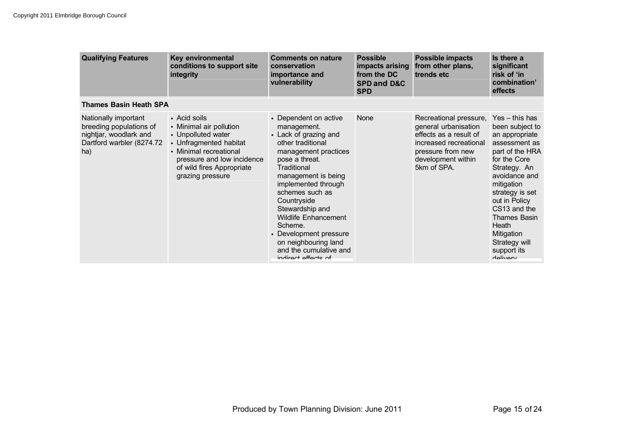| <b>Qualifying Features</b>                                                                                    | Key environmental<br>conditions to support site<br>integrity                                                                                                                                     | <b>Comments on nature</b><br>conservation<br>importance and<br>vulnerability                                                                                                                                                                                                                                                                                                                | <b>Possible</b><br>impacts arising<br>from the DC<br><b>SPD and D&amp;C</b><br><b>SPD</b> | <b>Possible impacts</b><br>from other plans,<br>trends etc                                                                                                   | Is there a<br>significant<br>risk of 'in<br>combination'<br>effects                                                                                                                                                                                                                                    |
|---------------------------------------------------------------------------------------------------------------|--------------------------------------------------------------------------------------------------------------------------------------------------------------------------------------------------|---------------------------------------------------------------------------------------------------------------------------------------------------------------------------------------------------------------------------------------------------------------------------------------------------------------------------------------------------------------------------------------------|-------------------------------------------------------------------------------------------|--------------------------------------------------------------------------------------------------------------------------------------------------------------|--------------------------------------------------------------------------------------------------------------------------------------------------------------------------------------------------------------------------------------------------------------------------------------------------------|
| <b>Thames Basin Heath SPA</b>                                                                                 |                                                                                                                                                                                                  |                                                                                                                                                                                                                                                                                                                                                                                             |                                                                                           |                                                                                                                                                              |                                                                                                                                                                                                                                                                                                        |
| Nationally important<br>breeding populations of<br>nightjar, woodlark and<br>Dartford warbler (8274.72<br>ha) | • Acid soils<br>• Minimal air pollution<br>• Unpolluted water<br>• Unfragmented habitat<br>• Minimal recreational<br>pressure and low incidence<br>of wild fires Appropriate<br>grazing pressure | • Dependent on active<br>management.<br>• Lack of grazing and<br>other traditional<br>management practices<br>pose a threat.<br>Traditional<br>management is being<br>implemented through<br>schemes such as<br>Countryside<br>Stewardship and<br><b>Wildlife Enhancement</b><br>Scheme.<br>• Development pressure<br>on neighbouring land<br>and the cumulative and<br>indirect effects of | None                                                                                      | Recreational pressure,<br>general urbanisation<br>effects as a result of<br>increased recreational<br>pressure from new<br>development within<br>5km of SPA. | $Yes - this has$<br>been subject to<br>an appropriate<br>assessment as<br>part of the HRA<br>for the Core<br>Strategy. An<br>avoidance and<br>mitigation<br>strategy is set<br>out in Policy<br>CS13 and the<br><b>Thames Basin</b><br>Heath<br>Mitigation<br>Strategy will<br>support its<br>delivery |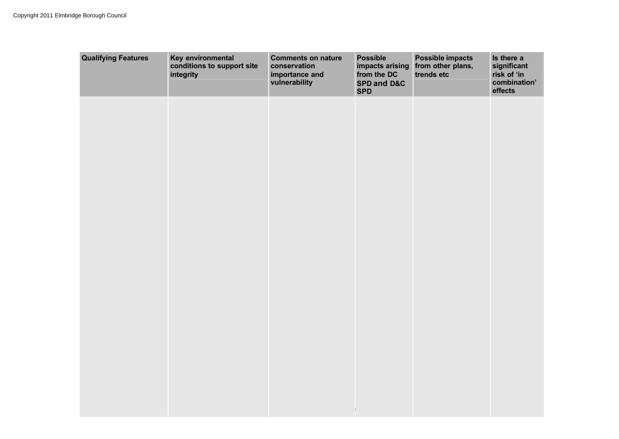| <b>Qualifying Features</b> | Key environmental<br>conditions to support site<br>integrity | <b>Comments on nature</b><br>conservation<br>importance and<br>vulnerability | <b>Possible</b><br>impacts arising<br>from the DC<br>SPD and D&C<br><b>SPD</b> | <b>Possible impacts</b><br>from other plans,<br>trends etc | Is there a<br>significant<br>risk of 'in<br>combination'<br>effects |
|----------------------------|--------------------------------------------------------------|------------------------------------------------------------------------------|--------------------------------------------------------------------------------|------------------------------------------------------------|---------------------------------------------------------------------|
|                            |                                                              |                                                                              |                                                                                |                                                            |                                                                     |
|                            |                                                              |                                                                              |                                                                                |                                                            |                                                                     |
|                            |                                                              |                                                                              |                                                                                |                                                            |                                                                     |
|                            |                                                              |                                                                              |                                                                                |                                                            |                                                                     |
|                            |                                                              |                                                                              |                                                                                |                                                            |                                                                     |
|                            |                                                              |                                                                              |                                                                                |                                                            |                                                                     |
|                            |                                                              |                                                                              |                                                                                |                                                            |                                                                     |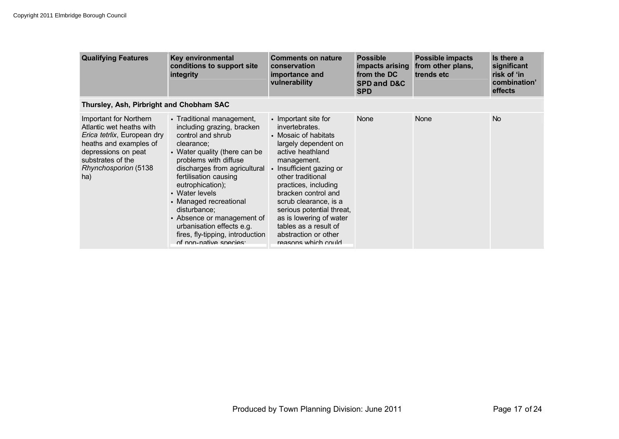| <b>Qualifying Features</b>                                                                                                                                                                    | Key environmental<br>conditions to support site<br>integrity                                                                                                                                                                                                                                                                                                                                                           | <b>Comments on nature</b><br>conservation<br>importance and<br>vulnerability                                                                                                                                                                                                                                                                                                       | <b>Possible</b><br>impacts arising<br>from the DC<br><b>SPD and D&amp;C</b><br><b>SPD</b> | <b>Possible impacts</b><br>from other plans,<br>trends etc | Is there a<br>significant<br>risk of 'in<br>combination'<br>effects |
|-----------------------------------------------------------------------------------------------------------------------------------------------------------------------------------------------|------------------------------------------------------------------------------------------------------------------------------------------------------------------------------------------------------------------------------------------------------------------------------------------------------------------------------------------------------------------------------------------------------------------------|------------------------------------------------------------------------------------------------------------------------------------------------------------------------------------------------------------------------------------------------------------------------------------------------------------------------------------------------------------------------------------|-------------------------------------------------------------------------------------------|------------------------------------------------------------|---------------------------------------------------------------------|
| Thursley, Ash, Pirbright and Chobham SAC                                                                                                                                                      |                                                                                                                                                                                                                                                                                                                                                                                                                        |                                                                                                                                                                                                                                                                                                                                                                                    |                                                                                           |                                                            |                                                                     |
| Important for Northern<br>Atlantic wet heaths with<br>Erica tetrlix, European dry<br>heaths and examples of<br>depressions on peat<br>substrates of the<br><b>Rhynchosporion (5138</b><br>ha) | • Traditional management,<br>including grazing, bracken<br>control and shrub<br>clearance;<br>• Water quality (there can be<br>problems with diffuse<br>discharges from agricultural<br>fertilisation causing<br>eutrophication);<br>• Water levels<br>• Managed recreational<br>disturbance;<br>• Absence or management of<br>urbanisation effects e.g.<br>fires, fly-tipping, introduction<br>of non-native species: | • Important site for<br>invertebrates.<br>• Mosaic of habitats<br>largely dependent on<br>active heathland<br>management.<br>• Insufficient gazing or<br>other traditional<br>practices, including<br>bracken control and<br>scrub clearance, is a<br>serious potential threat,<br>as is lowering of water<br>tables as a result of<br>abstraction or other<br>reasons which could | <b>None</b>                                                                               | <b>None</b>                                                | <b>No</b>                                                           |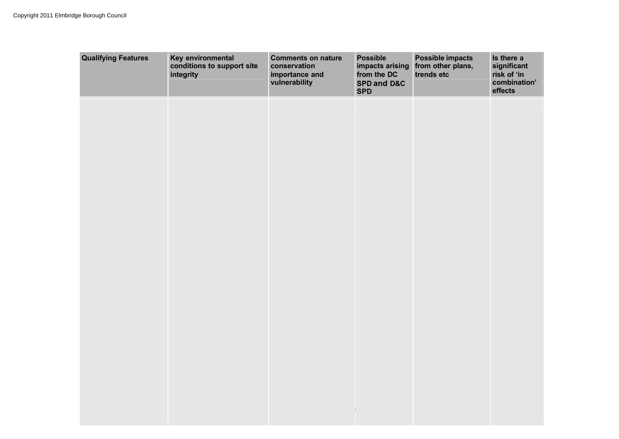| <b>Qualifying Features</b> | Key environmental<br>conditions to support site<br>integrity | <b>Comments on nature</b><br>conservation<br>importance and<br>vulnerability | <b>Possible</b><br>impacts arising<br>from the DC<br>SPD and D&C<br><b>SPD</b> | <b>Possible impacts</b><br>from other plans,<br>trends etc | Is there a<br>significant<br>risk of 'in<br>combination'<br>effects |
|----------------------------|--------------------------------------------------------------|------------------------------------------------------------------------------|--------------------------------------------------------------------------------|------------------------------------------------------------|---------------------------------------------------------------------|
|                            |                                                              |                                                                              |                                                                                |                                                            |                                                                     |
|                            |                                                              |                                                                              |                                                                                |                                                            |                                                                     |
|                            |                                                              |                                                                              |                                                                                |                                                            |                                                                     |
|                            |                                                              |                                                                              |                                                                                |                                                            |                                                                     |
|                            |                                                              |                                                                              |                                                                                |                                                            |                                                                     |
|                            |                                                              |                                                                              |                                                                                |                                                            |                                                                     |
|                            |                                                              |                                                                              |                                                                                |                                                            |                                                                     |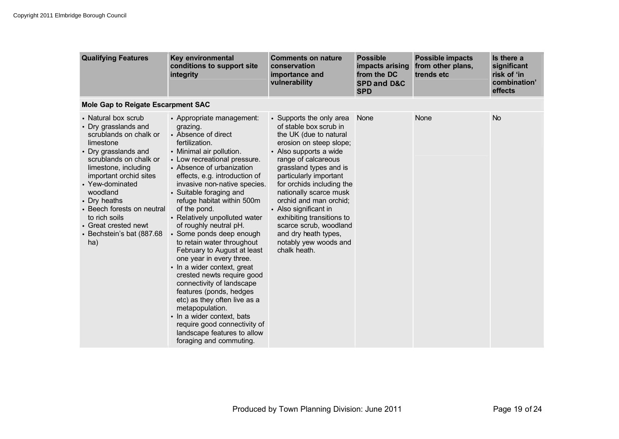| <b>Qualifying Features</b>                                                                                                                                                                                                                                                                                                                        | Key environmental<br>conditions to support site<br>integrity                                                                                                                                                                                                                                                                                                                                                                                                                                                                                                                                                                                                                                                                                                                                      | <b>Comments on nature</b><br>conservation<br>importance and<br>vulnerability                                                                                                                                                                                                                                                                                                                                                                   | <b>Possible</b><br>impacts arising<br>from the DC<br><b>SPD and D&amp;C</b><br><b>SPD</b> | <b>Possible impacts</b><br>from other plans,<br>trends etc | Is there a<br>significant<br>risk of 'in<br>combination'<br>effects |  |  |
|---------------------------------------------------------------------------------------------------------------------------------------------------------------------------------------------------------------------------------------------------------------------------------------------------------------------------------------------------|---------------------------------------------------------------------------------------------------------------------------------------------------------------------------------------------------------------------------------------------------------------------------------------------------------------------------------------------------------------------------------------------------------------------------------------------------------------------------------------------------------------------------------------------------------------------------------------------------------------------------------------------------------------------------------------------------------------------------------------------------------------------------------------------------|------------------------------------------------------------------------------------------------------------------------------------------------------------------------------------------------------------------------------------------------------------------------------------------------------------------------------------------------------------------------------------------------------------------------------------------------|-------------------------------------------------------------------------------------------|------------------------------------------------------------|---------------------------------------------------------------------|--|--|
| Mole Gap to Reigate Escarpment SAC                                                                                                                                                                                                                                                                                                                |                                                                                                                                                                                                                                                                                                                                                                                                                                                                                                                                                                                                                                                                                                                                                                                                   |                                                                                                                                                                                                                                                                                                                                                                                                                                                |                                                                                           |                                                            |                                                                     |  |  |
| • Natural box scrub<br>• Dry grasslands and<br>scrublands on chalk or<br>limestone<br>• Dry grasslands and<br>scrublands on chalk or<br>limestone, including<br>important orchid sites<br>• Yew-dominated<br>woodland<br>• Dry heaths<br>• Beech forests on neutral<br>to rich soils<br>• Great crested newt<br>• Bechstein's bat (887.68)<br>ha) | • Appropriate management:<br>grazing.<br>• Absence of direct<br>fertilization.<br>• Minimal air pollution.<br>• Low recreational pressure.<br>• Absence of urbanization<br>effects, e.g. introduction of<br>invasive non-native species.<br>• Suitable foraging and<br>refuge habitat within 500m<br>of the pond.<br>• Relatively unpolluted water<br>of roughly neutral pH.<br>• Some ponds deep enough<br>to retain water throughout<br>February to August at least<br>one year in every three.<br>• In a wider context, great<br>crested newts require good<br>connectivity of landscape<br>features (ponds, hedges<br>etc) as they often live as a<br>metapopulation.<br>• In a wider context, bats<br>require good connectivity of<br>landscape features to allow<br>foraging and commuting. | • Supports the only area<br>of stable box scrub in<br>the UK (due to natural<br>erosion on steep slope;<br>• Also supports a wide<br>range of calcareous<br>grassland types and is<br>particularly important<br>for orchids including the<br>nationally scarce musk<br>orchid and man orchid;<br>• Also significant in<br>exhibiting transitions to<br>scarce scrub, woodland<br>and dry heath types,<br>notably yew woods and<br>chalk heath. | <b>None</b>                                                                               | None                                                       | <b>No</b>                                                           |  |  |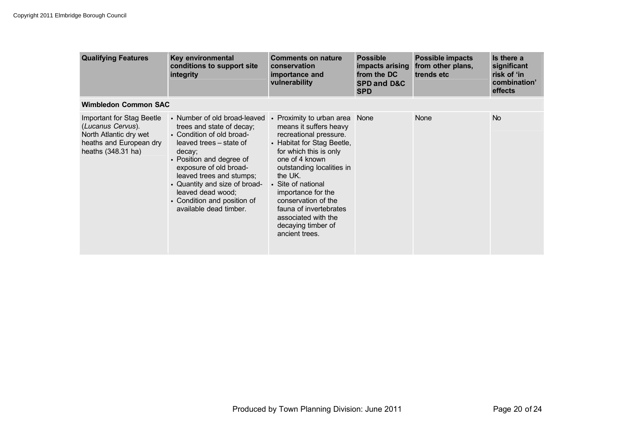| <b>Qualifying Features</b>                                                                                                       | Key environmental<br>conditions to support site<br>integrity                                                                                                                                                                                                                                                                                           | <b>Comments on nature</b><br>conservation<br>importance and<br>vulnerability                                                                                                                                                                                                                                                   | <b>Possible</b><br>impacts arising<br>from the DC<br><b>SPD and D&amp;C</b><br><b>SPD</b> | <b>Possible impacts</b><br>from other plans,<br>trends etc | Is there a<br>significant<br>risk of 'in<br>combination'<br>effects |  |  |
|----------------------------------------------------------------------------------------------------------------------------------|--------------------------------------------------------------------------------------------------------------------------------------------------------------------------------------------------------------------------------------------------------------------------------------------------------------------------------------------------------|--------------------------------------------------------------------------------------------------------------------------------------------------------------------------------------------------------------------------------------------------------------------------------------------------------------------------------|-------------------------------------------------------------------------------------------|------------------------------------------------------------|---------------------------------------------------------------------|--|--|
| <b>Wimbledon Common SAC</b>                                                                                                      |                                                                                                                                                                                                                                                                                                                                                        |                                                                                                                                                                                                                                                                                                                                |                                                                                           |                                                            |                                                                     |  |  |
| <b>Important for Stag Beetle</b><br>(Lucanus Cervus).<br>North Atlantic dry wet<br>heaths and European dry<br>heaths (348.31 ha) | • Number of old broad-leaved • Proximity to urban area<br>trees and state of decay;<br>• Condition of old broad-<br>leaved trees – state of<br>decay;<br>• Position and degree of<br>exposure of old broad-<br>leaved trees and stumps;<br>• Quantity and size of broad-<br>leaved dead wood;<br>• Condition and position of<br>available dead timber. | means it suffers heavy<br>recreational pressure.<br>• Habitat for Stag Beetle,<br>for which this is only<br>one of 4 known<br>outstanding localities in<br>the UK.<br>• Site of national<br>importance for the<br>conservation of the<br>fauna of invertebrates<br>associated with the<br>decaying timber of<br>ancient trees. | <b>None</b>                                                                               | <b>None</b>                                                | N <sub>o</sub>                                                      |  |  |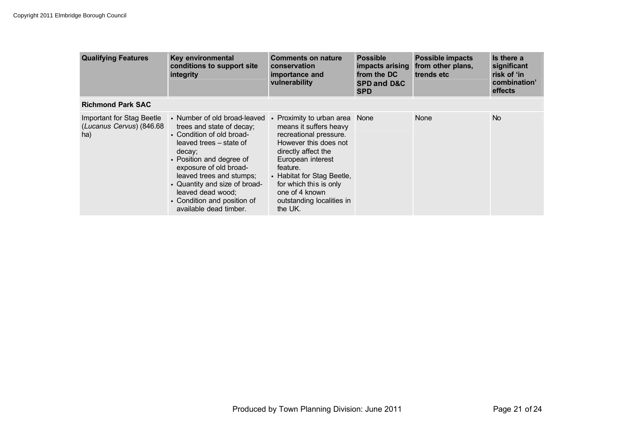| <b>Qualifying Features</b>                                   | <b>Key environmental</b><br>conditions to support site<br>integrity                                                                                                                                                                                                                                                          | <b>Comments on nature</b><br>conservation<br>importance and<br>vulnerability                                                                                                                                                                                                          | <b>Possible</b><br>impacts arising<br>from the DC<br><b>SPD and D&amp;C</b><br><b>SPD</b> | <b>Possible impacts</b><br>from other plans,<br>trends etc | Is there a<br>significant<br>risk of 'in<br>combination'<br>effects |
|--------------------------------------------------------------|------------------------------------------------------------------------------------------------------------------------------------------------------------------------------------------------------------------------------------------------------------------------------------------------------------------------------|---------------------------------------------------------------------------------------------------------------------------------------------------------------------------------------------------------------------------------------------------------------------------------------|-------------------------------------------------------------------------------------------|------------------------------------------------------------|---------------------------------------------------------------------|
| <b>Richmond Park SAC</b>                                     |                                                                                                                                                                                                                                                                                                                              |                                                                                                                                                                                                                                                                                       |                                                                                           |                                                            |                                                                     |
| Important for Stag Beetle<br>(Lucanus Cervus) (846.68<br>ha) | • Number of old broad-leaved<br>trees and state of decay;<br>• Condition of old broad-<br>leaved trees – state of<br>decay;<br>• Position and degree of<br>exposure of old broad-<br>leaved trees and stumps;<br>• Quantity and size of broad-<br>leaved dead wood;<br>• Condition and position of<br>available dead timber. | • Proximity to urban area None<br>means it suffers heavy<br>recreational pressure.<br>However this does not<br>directly affect the<br>European interest<br>feature.<br>• Habitat for Stag Beetle,<br>for which this is only<br>one of 4 known<br>outstanding localities in<br>the UK. |                                                                                           | None                                                       | <b>No</b>                                                           |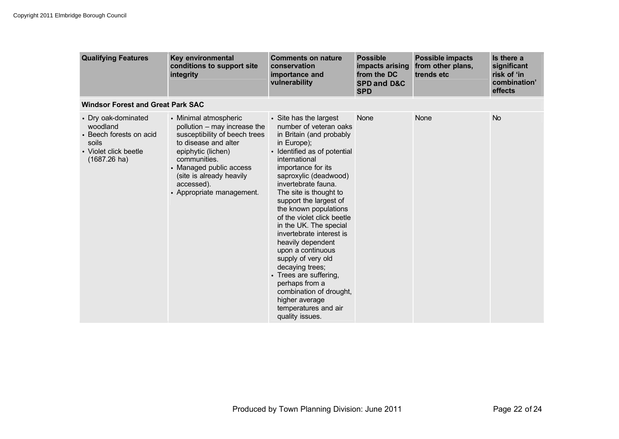| <b>Qualifying Features</b>                                                                                      | Key environmental<br>conditions to support site<br>integrity                                                                                                                                                                                           | <b>Comments on nature</b><br>conservation<br>importance and<br>vulnerability                                                                                                                                                                                                                                                                                                                                                                                                                                                                                                                               | <b>Possible</b><br>impacts arising<br>from the DC<br><b>SPD and D&amp;C</b><br><b>SPD</b> | <b>Possible impacts</b><br>from other plans,<br>trends etc | Is there a<br>significant<br>risk of 'in<br>combination'<br>effects |  |
|-----------------------------------------------------------------------------------------------------------------|--------------------------------------------------------------------------------------------------------------------------------------------------------------------------------------------------------------------------------------------------------|------------------------------------------------------------------------------------------------------------------------------------------------------------------------------------------------------------------------------------------------------------------------------------------------------------------------------------------------------------------------------------------------------------------------------------------------------------------------------------------------------------------------------------------------------------------------------------------------------------|-------------------------------------------------------------------------------------------|------------------------------------------------------------|---------------------------------------------------------------------|--|
| <b>Windsor Forest and Great Park SAC</b>                                                                        |                                                                                                                                                                                                                                                        |                                                                                                                                                                                                                                                                                                                                                                                                                                                                                                                                                                                                            |                                                                                           |                                                            |                                                                     |  |
| • Dry oak-dominated<br>woodland<br>• Beech forests on acid<br>soils<br>• Violet click beetle<br>$(1687.26)$ ha) | • Minimal atmospheric<br>pollution - may increase the<br>susceptibility of beech trees<br>to disease and alter<br>epiphytic (lichen)<br>communities.<br>• Managed public access<br>(site is already heavily<br>accessed).<br>• Appropriate management. | • Site has the largest<br>number of veteran oaks<br>in Britain (and probably<br>in Europe);<br>• Identified as of potential<br>international<br>importance for its<br>saproxylic (deadwood)<br>invertebrate fauna.<br>The site is thought to<br>support the largest of<br>the known populations<br>of the violet click beetle<br>in the UK. The special<br>invertebrate interest is<br>heavily dependent<br>upon a continuous<br>supply of very old<br>decaying trees;<br>• Trees are suffering,<br>perhaps from a<br>combination of drought,<br>higher average<br>temperatures and air<br>quality issues. | None                                                                                      | None                                                       | <b>No</b>                                                           |  |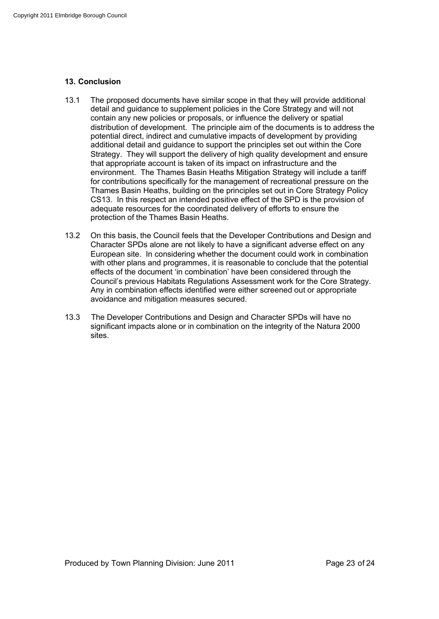## **13. Conclusion**

- 13.1 The proposed documents have similar scope in that they will provide additional detail and guidance to supplement policies in the Core Strategy and will not contain any new policies or proposals, or influence the delivery or spatial distribution of development. The principle aim of the documents is to address the potential direct, indirect and cumulative impacts of development by providing additional detail and guidance to support the principles set out within the Core Strategy. They will support the delivery of high quality development and ensure that appropriate account is taken of its impact on infrastructure and the environment. The Thames Basin Heaths Mitigation Strategy will include a tariff for contributions specifically for the management of recreational pressure on the Thames Basin Heaths, building on the principles set out in Core Strategy Policy CS13. In this respect an intended positive effect of the SPD is the provision of adequate resources for the coordinated delivery of efforts to ensure the protection of the Thames Basin Heaths.
- 13.2 On this basis, the Council feels that the Developer Contributions and Design and Character SPDs alone are not likely to have a significant adverse effect on any European site. In considering whether the document could work in combination with other plans and programmes, it is reasonable to conclude that the potential effects of the document 'in combination' have been considered through the Council's previous Habitats Regulations Assessment work for the Core Strategy. Any in combination effects identified were either screened out or appropriate avoidance and mitigation measures secured.
- 13.3 The Developer Contributions and Design and Character SPDs will have no significant impacts alone or in combination on the integrity of the Natura 2000 sites.